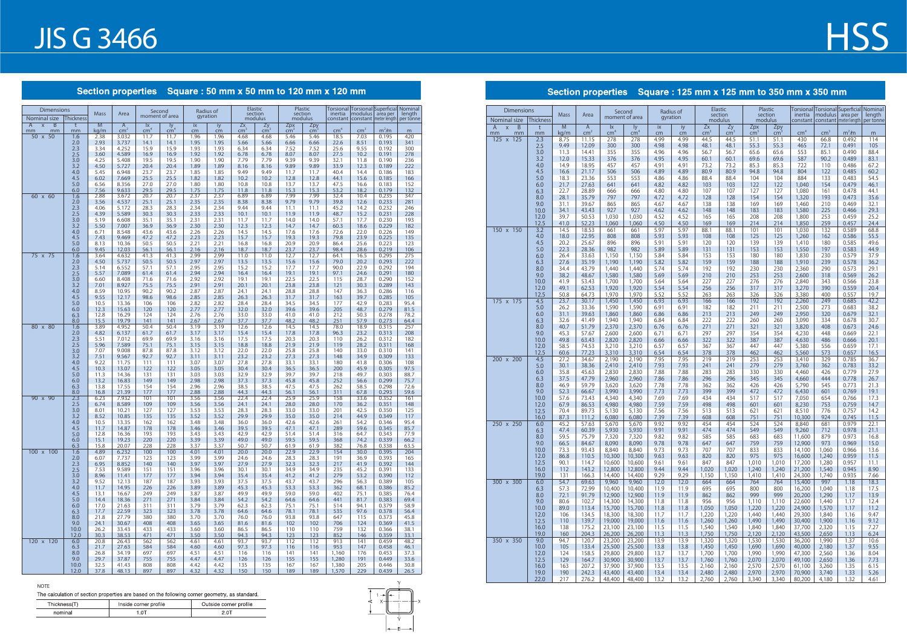| ۰.<br>$\sim$ |
|--------------|
|--------------|

The calculation of section properties are based on the following corner geometry, as standard.

### Section properties Square : 50 mm x 50 mm to 120 mm x 120 mm

|        | Inside corner profile | Outside corner profile |
|--------|-----------------------|------------------------|
| nomina |                       |                        |



## Section properties Square : 125 mm x 125 mm to 350 mm x 350 mm

| <b>Dimensions</b><br>Nominal size   | <b>Thickness</b> | <b>Mass</b>  | Area                              | Second<br>moment of area |                       |              | Radius of<br>gyration |                         | Elastic<br>section<br>modulus | section<br>modulus      | Plastic                         | inertia<br>constant | Torsional   Torsional   Superficial   Nominal<br>modulus<br>  constant   meter length | area per                   | length<br>per tonne |
|-------------------------------------|------------------|--------------|-----------------------------------|--------------------------|-----------------------|--------------|-----------------------|-------------------------|-------------------------------|-------------------------|---------------------------------|---------------------|---------------------------------------------------------------------------------------|----------------------------|---------------------|
| B<br>$\overline{A}$<br>$\mathsf{x}$ | t                | M            | $\overline{A}$<br>cm <sup>2</sup> | Ix                       | ly<br>$\mathsf{cm}^4$ | ix           | iy                    | Zx                      | $\overline{zy}$<br>$\rm cm^3$ | Zpx                     | $Zpy$ <sub>cm<sup>3</sup></sub> | cm <sup>4</sup>     | $\text{cm}^3$                                                                         |                            |                     |
| mm<br>mm<br>50 x 50                 | mm<br>1.6        | kg/m<br>2.38 | 3.032                             | cm <sup>4</sup><br>11.7  | 11.7                  | cm<br>1.96   | cm<br>1.96            | cm <sup>3</sup><br>4.68 | 4.68                          | cm <sup>3</sup><br>5.46 | 5.46                            | 18.5                | 7.03                                                                                  | m <sup>2</sup> /m<br>0.195 | m<br>420            |
|                                     | 2.0              | 2.93         | 3.737                             | 14.1                     | 14.1                  | 1.95         | 1.95                  | 5.66                    | 5.66                          | 6.66                    | 6.66                            | 22.6                | 8.51                                                                                  | 0.193                      | 341                 |
|                                     | 2.3              | 3.34         | 4.252                             | 15.9                     | 15.9                  | 1.93         | 1.93                  | 6.34                    | 6.34                          | 7.52                    | 7.52                            | 25.6                | 9.55                                                                                  | 0.192                      | 300                 |
|                                     | 2.5<br>3.0       | 3.60<br>4.25 | 4.589<br>5.408                    | 16.9<br>19.5             | 16.9<br>19.5          | 1.92<br>1.90 | 1.92<br>1.90          | 6.78<br>7.79            | 6.78<br>7.79                  | 8.07<br>9.39            | 8.07<br>9.39                    | 27.5<br>32.1        | 10.2<br>11.8                                                                          | 0.191<br>0.190             | 278<br>236          |
|                                     | 3.2              | 4.50         | 5.727                             | 20.4                     | 20.4                  | 1.89         | 1.89                  | 8.16                    | 8.16                          | 9.89                    | 9.89                            | 33.9                | 12.3                                                                                  | 0.189                      | 222                 |
|                                     | 4.0              | 5.45         | 6.948                             | 23.7                     | 23.7                  | 1.85         | 1.85                  | 9.49                    | 9.49                          | 11.7                    | 11.7                            | 40.4                | 14.4                                                                                  | 0.186                      | 183                 |
|                                     | 4.5              | 6.02         | 7.669                             | 25.5                     | 25.5                  | 1.82         | 1.82                  | 10.2                    | 10.2                          | 12.8                    | 12.8                            | 44.1                | 15.6                                                                                  | 0.185                      | 166                 |
|                                     | 5.0<br>6.0       | 6.56<br>7.56 | 8.356<br>9.633                    | 27.0<br>29.5             | 27.0<br>29.5          | 1.80<br>1.75 | 1.80<br>1.75          | 10.8<br>11.8            | 10.8<br>11.8                  | 13.7<br>15.3            | 13.7<br>15.3                    | 47.5<br>53.2        | 16.6<br>18.2                                                                          | 0.183<br>0.179             | 152<br>132          |
| 60 x 60                             | 1.6              | 2.88         | 3.672                             | 20.7                     | 20.7                  | 2.37         | 2.37                  | 6.89                    | 6.89                          | 7.99                    | 7.99                            | 32.4                | 10.4                                                                                  | 0.235                      | 347                 |
|                                     | 2.0              | 3.56         | 4.537                             | 25.1                     | 25.1                  | 2.35         | 2.35                  | 8.38                    | 8.38                          | 9.79                    | 9.79                            | 39.8                | 12.6                                                                                  | 0.233                      | 281                 |
|                                     | 2.3<br>2.5       | 4.06<br>4.39 | 5.172<br>5.589                    | 28.3                     | 28.3                  | 2.34         | 2.34                  | 9.44                    | 9.44                          | 11.1                    | 11.1                            | 45.2                | 14.2                                                                                  | 0.232                      | 246                 |
|                                     | 3.0              | 5.19         | 6.608                             | 30.3<br>35.1             | 30.3<br>35.1          | 2.33<br>2.31 | 2.33<br>2.31          | 10.1<br>11.7            | 10.1<br>11.7                  | 11.9<br>14.0            | 11.9<br>14.0                    | 48.7<br>57.1        | 15.2<br>17.7                                                                          | 0.231<br>0.230             | 228<br>193          |
|                                     | 3.2              | 5.50         | 7.007                             | 36.9                     | 36.9                  | 2.30         | 2.30                  | 12.3                    | 12.3                          | 14.7                    | 14.7                            | 60.3                | 18.6                                                                                  | 0.229                      | 182                 |
|                                     | 4.0              | 6.71         | 8.548                             | 43.6                     | 43.6                  | 2.26         | 2.26                  | 14.5                    | 14.5                          | 17.6                    | 17.6                            | 72.6                | 22.0                                                                                  | 0.226                      | 149                 |
|                                     | 4.5<br>5.0       | 7.43<br>8.13 | 9.469<br>10.36                    | 47.2<br>50.5             | 47.2<br>50.5          | 2.23<br>2.21 | 2.23<br>2.21          | 15.7<br>16.8            | 15.7<br>16.8                  | 19.3<br>20.9            | 19.3<br>20.9                    | 79.8<br>86.4        | 23.9<br>25.6                                                                          | 0.225<br>0.223             | 135<br>123          |
|                                     | 6.0              | 9.45         | 12.03                             | 56.1                     | 56.1                  | 2.16         | 2.16                  | 18.7                    | 18.7                          | 23.7                    | 23.7                            | 98.4                | 28.6                                                                                  | 0.219                      | 106                 |
| 75 x 75                             | 1.6              | 3.64         | 4.632                             | 41.3                     | 41.3                  | 2.99         | 2.99                  | 11.0                    | 11.0                          | 12.7                    | 12.7                            | 64.1                | 16.5                                                                                  | 0.295                      | 275                 |
|                                     | 2.0              | 4.50         | 5.737                             | 50.5                     | 50.5                  | 2.97         | 2.97                  | 13.5                    | 13.5                          | 15.6                    | 15.6                            | 79.0                | 20.2                                                                                  | 0.293                      | 222                 |
|                                     | 2.3<br>2.5       | 5.14<br>5.57 | 6.552<br>7.089                    | 57.1<br>61.4             | 57.1<br>61.4          | 2.95<br>2.94 | 2.95<br>2.94          | 15.2<br>16.4            | 15.2<br>16.4                  | 17.7<br>19.1            | 17.7<br>19.1                    | 90.0<br>97.1        | 22.9<br>24.6                                                                          | 0.292<br>0.291             | 194<br>180          |
|                                     | 3.0              | 6.60         | 8.408                             | 71.6                     | 71.6                  | 2.92         | 2.92                  | 19.1                    | 19.1                          | 22.5                    | 22.5                            | 115                 | 28.7                                                                                  | 0.290                      | 152                 |
|                                     | 3.2              | 7.01         | 8.927                             | 75.5                     | 75.5                  | 2.91         | 2.91                  | 20.1                    | 20.1                          | 23.8                    | 23.8                            | 121                 | 30.3                                                                                  | 0.289                      | 143                 |
|                                     | 4.0              | 8.59         | 10.95                             | 90.2                     | 90.2                  | 2.87         | 2.87                  | 24.1                    | 24.1                          | 28.8                    | 28.8                            | 147                 | 36.3                                                                                  | 0.286                      | 116                 |
|                                     | 4.5<br>5.0       | 9.55<br>10.5 | 12.17<br>13.36                    | 98.6<br>106              | 98.6<br>106           | 2.85<br>2.82 | 2.85<br>2.82          | 26.3<br>28.4            | 26.3<br>28.4                  | 31.7<br>34.5            | 31.7<br>34.5                    | 163<br>177          | 39.7<br>42.9                                                                          | 0.285<br>0.283             | 105<br>95.4         |
|                                     | 6.0              | 12.3         | 15.63                             | 120                      | 120                   | 2.77         | 2.77                  | 32.0                    | 32.0                          | 39.6                    | 39.6                            | 205                 | 48.7                                                                                  | 0.279                      | 81.5                |
|                                     | 6.3              | 12.8         | 16.29                             | 124                      | 124                   | 2.76         | 2.76                  | 33.0                    | 33.0                          | 41.0                    | 41.0                            | 212                 | 50.3                                                                                  | 0.278                      | 78.2                |
|                                     | 8.0              | 15.5         | 19.79                             | 141                      | 141                   | 2.67         | 2.67                  | 37.7                    | 37.7                          | 48.2                    | 48.2                            | 251                 | 57.9                                                                                  | 0.273                      | 64.4                |
| 80 x 80                             | 1.6<br>2.0       | 3.89<br>4.82 | 4.952<br>6.137                    | 50.4<br>61.7             | 50.4<br>61.7          | 3.19<br>3.17 | 3.19<br>3.17          | 12.6<br>15.4            | 12.6<br>15.4                  | 14.5<br>17.8            | 14.5<br>17.8                    | 78.0<br>96.3        | 18.9<br>23.2                                                                          | 0.315<br>0.313             | 257<br>208          |
|                                     | 2.3              | 5.51         | 7.012                             | 69.9                     | 69.9                  | 3.16         | 3.16                  | 17.5                    | 17.5                          | 20.3                    | 20.3                            | 110                 | 26.2                                                                                  | 0.312                      | 182                 |
|                                     | 2.5              | 5.96         | 7.589                             | 75.1                     | 75.1                  | 3.15         | 3.15                  | 18.8                    | 18.8                          | 21.9                    | 21.9                            | 119                 | 28.2                                                                                  | 0.311                      | 168                 |
|                                     | 3.0              | 7.07         | 9.008                             | 87.8                     | 87.8                  | 3.12         | 3.12                  | 22.0                    | 22.0                          | 25.8                    | 25.8                            | 140                 | 33.0                                                                                  | 0.310                      | 141                 |
|                                     | 3.2<br>4.0       | 7.51<br>9.22 | 9.567<br>11.75                    | 92.7<br>111              | 92.7<br>111           | 3.11<br>3.07 | 3.11<br>3.07          | 23.2<br>27.8            | 23.2<br>27.8                  | 27.3<br>33.1            | 27.3<br>33.1                    | 148<br>180          | 34.9<br>41.8                                                                          | 0.309<br>0.306             | 133<br>108          |
|                                     | 4.5              | 10.3         | 13.07                             | 122                      | 122                   | 3.05         | 3.05                  | 30.4                    | 30.4                          | 36.5                    | 36.5                            | 200                 | 45.9                                                                                  | 0.305                      | 97.5                |
|                                     | 5.0              | 11.3         | 14.36                             | 131                      | 131                   | 3.03         | 3.03                  | 32.9                    | 32.9                          | 39.7                    | 39.7                            | 218                 | 49.7                                                                                  | 0.303                      | 88.7                |
|                                     | 6.0<br>6.3       | 13.2<br>13.8 | 16.83<br>17.55                    | 149<br>154               | 149<br>154            | 2.98<br>2.96 | 2.98<br>2.96          | 37.3<br>38.5            | 37.3<br>38.5                  | 45.8<br>47.5            | 45.8<br>47.5                    | 252<br>262          | 56.6<br>58.5                                                                          | 0.299<br>0.298             | 75.7<br>72.6        |
|                                     | 8.0              | 16.8         | 21.39                             | 177                      | 177                   | 2.88         | 2.88                  | 44.3                    | 44.3                          | 56.1                    | 56.1                            | 311                 | 67.8                                                                                  | 0.293                      | 59.6                |
| $90 \times 90$                      | 2.3              | 6.23         | 7.932                             | 101                      | 101                   | 3.56         | 3.56                  | 22.4                    | 22.4                          | 25.9                    | 25.9                            | 158                 | 33.6                                                                                  | 0.352                      | 161                 |
|                                     | 2.5              | 6.74         | 8.589                             | 109                      | 109                   | 3.56         | 3.56                  | 24.1                    | 24.1                          | 28.0                    | 28.0                            | 170                 | 36.2                                                                                  | 0.351                      | 148                 |
|                                     | 3.0<br>3.2       | 8.01<br>8.52 | 10.21<br>10.85                    | 127<br>135               | 127<br>135            | 3.53<br>3.52 | 3.53<br>3.52          | 28.3<br>29.9            | 28.3<br>29.9                  | 33.0<br>35.0            | 33.0<br>35.0                    | 201<br>214          | 42.5<br>44.9                                                                          | 0.350<br>0.349             | 125<br>117          |
|                                     | 4.0              | 10.5         | 13.35                             | 162                      | 162                   | 3.48         | 3.48                  | 36.0                    | 36.0                          | 42.6                    | 42.6                            | 261                 | 54.2                                                                                  | 0.346                      | 95.4                |
|                                     | 4.5              | 11.7         | 14.87                             | 178                      | 178                   | 3.46         | 3.46                  | 39.5                    | 39.5                          | 47.1                    | 47.1                            | 289                 | 59.6                                                                                  | 0.345                      | 85.7                |
|                                     | 5.0<br>6.0       | 12.8<br>15.1 | 16.36<br>19.23                    | 193<br>220               | 193<br>220            | 3.43<br>3.39 | 3.43<br>3.39          | 42.9<br>49.0            | 42.9<br>49.0                  | 51.4<br>59.5            | 51.4<br>59.5                    | 316<br>368          | 64.7<br>74.2                                                                          | 0.343<br>0.339             | 77.9<br>66.2        |
|                                     | <u>6.3</u>       | 15.8         | 20.07                             | <u>228</u>               | <u>228</u>            | 3.37         | 3.37                  | 50.7                    | 50.7                          | 61.9                    | 61.9                            | 382                 | <u>/6.8</u>                                                                           | 0.338                      | <u>63.5</u>         |
| $100 \times 100$                    | 1.6              | 4.89         | 6.232                             | 100                      | 100                   | 4.01         | 4.01                  | 20.0                    | 20.0                          | 22.9                    | 22.9                            | 154                 | 30.0                                                                                  | 0.395                      | 204                 |
|                                     | 2.0              | 6.07         | 7.737                             | 123                      | 123                   | 3.99         | 3.99                  | 24.6                    | 24.6                          | 28.3                    | 28.3                            | 191                 | 36.9                                                                                  | 0.393                      | 165                 |
|                                     | 2.3<br>2.5       | 6.95<br>7.53 | 8.852<br>9.589                    | 140<br>151               | 140<br>151            | 3.97<br>3.96 | 3.97<br>3.96          | 27.9<br>30.1            | 27.9<br>30.1                  | 32.3<br>34.9            | 32.3<br>34.9                    | 217<br>235          | 41.9<br>45.2                                                                          | 0.392<br>0.391             | 144<br>133          |
|                                     | 3.0              | 8.96         | 11.41                             | 177                      | 177                   | 3.94         | 3.94                  | 35.4                    | 35.4                          | 41.2                    | 41.2                            | 279                 | 53.2                                                                                  | 0.390                      | 112                 |
|                                     | 3.2              | 9.52         | 12.13                             | 187                      | 187                   | 3.93         | 3.93                  | 37.5                    | 37.5                          | 43.7                    | 43.7                            | 296                 | 56.3                                                                                  | 0.389                      | 105                 |
|                                     | 4.0              | 11.7         | 14.95                             | 226                      | 226                   | 3.89         | 3.89                  | 45.3                    | 45.3                          | 53.3                    | 53.3                            | 362                 | 68.1                                                                                  | 0.386                      | 85.2                |
|                                     | 4.5<br>5.0       | 13.1<br>14.4 | 16.67<br>18.36                    | 249<br>271               | 249<br>271            | 3.87<br>3.84 | 3.87<br>3.84          | 49.9<br>54.2            | 49.9<br>54.2                  | 59.0<br>64.6            | 59.0<br>64.6                    | 402<br>441          | 75.1<br>81.7                                                                          | 0.385<br>0.383             | 76.4<br>69.4        |
|                                     | 6.0              | 17.0         | 21.63                             | 311                      | 311                   | 3.79         | 3.79                  | 62.3                    | 62.3                          | 75.1                    | 75.1                            | 514                 | 94.1                                                                                  | 0.379                      | 58.9                |
|                                     | 6.3              | 17.7         | 22.59                             | 323                      | 323                   | 3.78         | 3.78                  | 64.6                    | 64.6                          | 78.1                    | 78.1                            | 535                 | 97.6                                                                                  | 0.378                      | 56.4                |
|                                     | 8.0              | 21.8         | 27.79                             | 380                      | 380                   | 3.70         | 3.70                  | 76.0                    | 76.0                          | 93.8                    | 93.8                            | 647                 | 115                                                                                   | 0.373                      | 45.8                |
|                                     | 9.0<br>10.0      | 24.1<br>26.2 | 30.67<br>33.43                    | 408<br>433               | 408<br>433            | 3.65<br>3.60 | 3.65<br>3.60          | 81.6<br>86.5            | 81.6<br>86.5                  | 102<br>110              | 102<br>110                      | 706<br>759          | 124<br>132                                                                            | 0.369<br>0.366             | 41.5<br>38.1        |
|                                     | 12.0             | 30.3         | 38.53                             | 471                      | 471                   | 3.50         | 3.50                  | 94.3                    | 94.3                          | 123                     | 123                             | 852                 | 146                                                                                   | 0.359                      | 33.1                |
| 120 x 120                           | 6.0              | 20.8         | 26.43                             | 562                      | 562                   | 4.61         | 4.61                  | 93.7                    | 93.7                          | 112                     | 112                             | 913                 | 141                                                                                   | 0.459                      | 48.2                |
|                                     | 6.3<br>8.0       | 21.7<br>26.8 | 27.63<br>34.19                    | 584<br>697               | 584<br>697            | 4.60<br>4.51 | 4.60<br>4.51          | 97.3<br>116             | 97.3<br>116                   | 116<br>141              | 116<br>141                      | 953<br>1,160        | 147<br>176                                                                            | 0.458<br>0.453             | 46.1<br>37.3        |
|                                     | 9.0              | 29.7         | 37.87                             | 755                      | 755                   | 4.47         | 4.47                  | 126                     | 126                           | 155                     | 155                             | 1,280               | 191                                                                                   | 0.449                      | 33.6                |
|                                     | 10.0             | 32.5         | 41.43                             | 808                      | 808                   | 4.42         | 4.42                  | 135                     | 135                           | 167                     | 167                             | 1,380               | 205                                                                                   | 0.446                      | 30.8                |
|                                     | 12.0             | 37.8         | 48.13                             | 897                      | 897                   | 4.32         | 4.32                  | 150                     | 150                           | 189                     | 189                             | 1,570               | 229                                                                                   | 0.439                      | 26.5                |

# **HSS**

| <b>Dimensions</b><br>Nominal size  | <b>Thickness</b> | <b>Mass</b>  | Area                            |                                            | Second<br>moment of area |              | Radius of<br>gyration |                       | Elastic<br>section<br>modulus |                        | Plastic<br>section<br>modulus | inertia<br>constant | modulus area per | constant   meter length | Torsional Torsional Superficial Nominal<br>length<br>per tonne |
|------------------------------------|------------------|--------------|---------------------------------|--------------------------------------------|--------------------------|--------------|-----------------------|-----------------------|-------------------------------|------------------------|-------------------------------|---------------------|------------------|-------------------------|----------------------------------------------------------------|
| B<br>A<br>$\mathsf{x}$<br>mm<br>mm | t<br>mm          | M<br>kg/m    | $\mathsf{A}$<br>cm <sup>2</sup> | $\mathsf{I} \mathsf{X}$<br>$\mathsf{cm}^4$ | ly<br>$\text{cm}^4$      | ix<br>cm     | iy<br>cm              | Zx<br>cm <sup>3</sup> | Zy<br>$\text{cm}^3$           | Zpx<br>cm <sup>3</sup> | Zpy<br>cm <sup>3</sup>        | cm <sup>4</sup>     | cm <sup>3</sup>  | $m2$ /m                 | m                                                              |
| 125 x 125                          | 2.3              | 8.75         | 11.15                           | 278                                        | 278                      | 4.99         | 4.99                  | 44.5                  | 44.5                          | 51.1                   | 51.1                          | 430                 | 66.8             | 0.492                   | 114                                                            |
|                                    | 2.5              | 9.49         | 12.09                           | 300                                        | 300                      | 4.98         | 4.98                  | 48.1                  | 48.1                          | 55.3                   | 55.3                          | 465                 | 72.1             | 0.491                   | 105                                                            |
|                                    | 3.0              | 11.3         | 14.41                           | 355                                        | 355                      | 4.96         | 4.96                  | 56.7                  | 56.7                          | 65.6                   | 65.6                          | 553                 | 85.1             | 0.490                   | 88.4                                                           |
|                                    | 3.2              | 12.0         | 15.33                           | 376                                        | 376                      | 4.95         | 4.95                  | 60.1                  | 60.1                          | 69.6                   | 69.6                          | 587                 | 90.2             | 0.489                   | 83.1                                                           |
|                                    | 4.0              | 14.9         | 18.95                           | 457                                        | 457                      | 4.91         | 4.91                  | 73.2                  | 73.2                          | 85.3                   | 85.3                          | 722                 | 110              | 0.486                   | 67.2                                                           |
|                                    | 4.5              | 16.6         | 21.17                           | 506                                        | 506                      | 4.89         | 4.89                  | 80.9<br>88.4          | 80.9                          | 94.8                   | 94.8<br>104                   | 804<br>884          | 122              | 0.485                   | 60.2                                                           |
|                                    | 5.0<br>6.0       | 18.3<br>21.7 | 23.36<br>27.63                  | 553<br>641                                 | 553<br>641               | 4.86<br>4.82 | 4.86<br>4.82          | 103                   | 88.4<br>103                   | 104<br>122             | 122                           | 1,040               | 133<br>154       | 0.483<br>0.479          | 54.5<br>46.1                                                   |
|                                    | 6.3              | 22.7         | 28.89                           | 666                                        | 666                      | 4.80         | 4.80                  | 107                   | 107                           | 127                    | 127                           | 1,080               | 161              | 0.478                   | 44.1                                                           |
|                                    | 8.0              | 28.1         | 35.79                           | 797                                        | 797                      | 4.72         | 4.72                  | 128                   | 128                           | 154                    | 154                           | 1,320               | 193              | 0.473                   | 35.6                                                           |
|                                    | 9.0              | 31.1         | 39.67                           | 865                                        | 865                      | 4.67         | 4.67                  | 138                   | 138                           | 169                    | 169                           | 1,460               | 210              | 0.469                   | 32.1                                                           |
|                                    | 10.0             | 34.1         | 43.43                           | 927                                        | 927                      | 4.62         | 4.62                  | 148                   | 148                           | 183                    | 183                           | 1,580               | 225              | 0.466                   | 29.3                                                           |
|                                    | 12.0             | 39.7         | 50.53                           | 1,030                                      | 1,030                    | 4.52         | 4.52                  | 165                   | 165                           | 208                    | 208                           | 1,800               | 253              | 0.459                   | 25.2                                                           |
|                                    | 12.5             | 41.0         | 52.23                           | 1,060                                      | 1,060                    | 4.50         | 4.50                  | 169                   | 169                           | 214                    | 214                           | 1,850               | 259              | 0.457                   | 24.4                                                           |
| 150 x 150                          | $\overline{3.2}$ | 14.5         | 18.53                           | 661                                        | 661                      | 5.97         | 5.97                  | 88.1                  | 88.1                          | 101                    | 101                           | 1,030               | 132              | 0.589                   | 68.8                                                           |
|                                    | 4.0              | 18.0         | 22.95                           | 808                                        | 808                      | 5.93         | 5.93                  | 108                   | 108                           | 125                    | 125                           | 1,260               | 162              | 0.586                   | 55.5                                                           |
|                                    | 4.5              | 20.2         | 25.67                           | 896                                        | 896                      | 5.91         | 5.91                  | 120                   | 120                           | 139                    | 139                           | 1,410               | 180              | 0.585                   | 49.6                                                           |
|                                    | 5.0              | 22.3         | 28.36                           | 982                                        | 982                      | 5.89         | 5.89                  | 131                   | 131                           | 153                    | 153                           | 1,550               | 197              | 0.583                   | 44.9                                                           |
|                                    | 6.0<br>6.3       | 26.4<br>27.6 | 33.63<br>35.19                  | 1,150<br>1,190                             | 1,150<br>1,190           | 5.84<br>5.82 | 5.84<br>5.82          | 153<br>159            | 153<br>159                    | 180<br>188             | 180<br>188                    | 1,830<br>1,910      | 230<br>239       | 0.579<br>0.578          | 37.9<br>36.2                                                   |
|                                    | 8.0              | 34.4         | 43.79                           | 1,440                                      | 1,440                    | 5.74         | 5.74                  | 192                   | 192                           | 230                    | 230                           | 2,360               | 290              | 0.573                   | 29.1                                                           |
|                                    | 9.0              | 38.2         | 48.67                           | 1,580                                      | 1,580                    | 5.69         | 5.69                  | 210                   | 210                           | 253                    | 253                           | 2,600               | 318              | 0.569                   | 26.2                                                           |
|                                    | 10.0             | 41.9         | 53.43                           | 1,700                                      | 1,700                    | 5.64         | 5.64                  | 227                   | 227                           | 276                    | 276                           | 2,840               | 343              | 0.566                   | 23.8                                                           |
|                                    | 12.0             | 49.1         | 62.53                           | 1,920                                      | 1,920                    | 5.54         | 5.54                  | 256                   | 256                           | 317                    | 317                           | 3,270               | 390              | 0.559                   | 20.4                                                           |
|                                    | 12.5             | 50.8         | 64.73                           | 1,970                                      | 1,970                    | 5.52         | 5.52                  | 263                   | 263                           | 326                    | 326                           | 3,380               | 400              | 0.557                   | 19.7                                                           |
| $\frac{175 \times 175}{ }$         | 4.5              | 23.7         | 30.17                           | 1,450                                      | 1,450                    | 6.93         | 6.93                  | 166                   | 166                           | 192                    | 192                           | 2,260               | 249              | 0.685                   | 42.2                                                           |
|                                    | 5.0              | 26.2         | 33.36                           | 1,590                                      | 1,590                    | 6.91         | 6.91                  | 182                   | 182                           | 211                    | 211                           | 2,500               | 273              | 0.683                   | 38.2                                                           |
|                                    | 6.0              | 31.1         | 39.63                           | 1,860                                      | 1,860                    | 6.86         | 6.86                  | 213                   | 213                           | 249                    | 249                           | 2,950               | 320              | 0.679                   | 32.1                                                           |
|                                    | 6.3              | 32.6         | 41.49                           | 1,940                                      | 1,940                    | 6.84         | 6.84                  | 222                   | 222                           | 260                    | 260                           | 3,090               | 334              | 0.678                   | 30.7                                                           |
|                                    | 8.0              | 40.7         | 51.79                           | 2,370                                      | 2,370                    | 6.76         | 6.76                  | 271<br>297            | 271<br>297                    | 321<br>354             | 321<br>354                    | 3,820<br>4,230      | 408<br>448       | 0.673<br>0.669          | 24.6<br>22.1                                                   |
|                                    | 9.0<br>10.0      | 45.3<br>49.8 | 57.67<br>63.43                  | 2,600<br>2,820                             | 2,600<br>2,820           | 6.71<br>6.66 | 6.71<br>6.66          | 322                   | 322                           | 387                    | 387                           | 4,630               | 486              | 0.666                   | 20.1                                                           |
|                                    | 12.0             | 58.5         | 74.53                           | 3,210                                      | 3,210                    | 6.57         | 6.57                  | 367                   | 367                           | 447                    | 447                           | 5,380               | 556              | 0.659                   | 17.1                                                           |
|                                    | 12.5             | 60.6         | 77.23                           | 3,310                                      | 3,310                    | 6.54         | 6.54                  | 378                   | 378                           | 462                    | 462                           | 5,560               | 573              | 0.657                   | 16.5                                                           |
| 200 x 200                          | 4.5              | 27.2         | 34.67                           | 2,190                                      | 2,190                    | 7.95         | 7.95                  | 219                   | 219                           | 253                    | 253                           | 3,410               | 329              | 0.785                   | 36.7                                                           |
|                                    | 5.0              | 30.1         | 38.36                           | 2,410                                      | 2,410                    | 7.93         | 7.93                  | 241                   | 241                           | 279                    | 279                           | 3,760               | 362              | 0.783                   | 33.2                                                           |
|                                    | 6.0              | 35.8         | 45.63                           | 2,830                                      | 2,830                    | 7.88         | 7.88                  | 283                   | 283                           | 330                    | 330                           | 4,460               | 426              | 0.779                   | 27.9                                                           |
|                                    | 6.3              | 37.5         | 47.79                           | 2,960                                      | 2,960                    | 7.86         | 7.86                  | 296                   | 296                           | 345                    | 345                           | 4,660               | 444              | 0.778                   | 26.7                                                           |
|                                    | 8.0              | 46.9         | 59.79                           | 3,620                                      | 3,620                    | 7.78         | 7.78                  | 362                   | 362                           | 426                    | 426                           | 5,790               | 545              | 0.773                   | 21.3                                                           |
|                                    | 9.0              | 52.3         | 66.67                           | 3,990                                      | 3,990                    | 7.73         | 7.73                  | 399                   | 399                           | 472                    | 472                           | 6,430               | 601              | 0.769                   | 19.1                                                           |
|                                    | 10.0             | 57.6         | 73.43                           | 4,340                                      | 4,340                    | 7.69         | 7.69                  | 434                   | 434                           | 517                    | 517                           | 7,050               | 654              | 0.766                   | 17.3                                                           |
|                                    | 12.0<br>12.5     | 67.9<br>70.4 | 86.53<br>89.73                  | 4,980<br>5,130                             | 4,980<br>5,130           | 7.59<br>7.56 | 7.59<br>7.56          | 498<br>513            | 498<br>513                    | 601<br>621             | 601<br>621                    | 8,230<br>8,510      | 753<br>776       | 0.759<br>0.757          | 14.7<br>14.2                                                   |
|                                    | 16.0             | 87.3         | 111.2                           | 6,080                                      | 6,080                    | 7.39         | 7.39                  | 608                   | 608                           | 751                    | 751                           | 10,300              | 924              | 0.745                   | 11.5                                                           |
| 250 x 250                          | 6.0              | 45.2         | 57.63                           | 5,670                                      | $\overline{5,670}$       | 9.92         | 9.92                  | 454                   | 454                           | 524                    | 524                           | 8,840               | 681              | 0.979                   | 22.1                                                           |
|                                    | 6.3              | 47.4         | 60.39                           | 5,930                                      | 5,930                    | 9.91         | 9.91                  | 474                   | 474                           | 549                    | 549                           | 9,260               | 712              | 0.978                   | 21.1                                                           |
|                                    | 8.0              | 59.5         | 75.79                           | 7,320                                      | 7,320                    | 9.82         | 9.82                  | 585                   | 585                           | 683                    | 683                           | 11,600              | 879              | 0.973                   | 16.8                                                           |
|                                    | 9.0              | 66.5         | 84.67                           | 8,090                                      | 8,090                    | 9.78         | 9.78                  | 647                   | 647                           | 759                    | 759                           | 12,900              | 973              | 0.969                   | 15.0                                                           |
|                                    | 10.0             | 73.3         | 93.43                           | 8,840                                      | 8,840                    | 9.73         | 9.73                  | 707                   | 707                           | 833                    | 833                           | 14,100              | 1,060            | 0.966                   | 13.6                                                           |
|                                    | 12.0             | 86.8         | 110.5                           | 10,300                                     | 10,300                   | 9.63         | 9.63                  | 820                   | 820                           | 975                    | 975                           | 16,600              | 1,240            | 0.959                   | 11.5                                                           |
|                                    | 12.5             | 90.1         | 114.7                           | 10,600                                     | 10,600                   | 9.61         | 9.61                  | 847                   | 847                           | 1,010                  | 1,010                         | 17,200              | 1,280            | 0.957                   | 11.1                                                           |
|                                    | 16.0             | 112          | 143.2                           | 12,800                                     | 12,800                   | 9.44         | 9.44<br>9.29          | 1,020                 | 1,020                         | 1,240                  | 1,240                         | 21,200              | 1,540            | 0.945                   | 8.90                                                           |
| 300 x 300                          | 19.0<br>6.0      | 131<br>54.7  | 166.3<br>69.63                  | 14,400<br>9,960                            | 14,400<br>9,960          | 9.29<br>12.0 | 12.0                  | 1,150<br>664          | 1,150<br>664                  | 1,410<br>764           | 1,410<br>764                  | 24,300<br>15,400    | 1,740<br>997     | 0.935<br>1.18           | 7.66<br>18.3                                                   |
|                                    | 6.3              | 57.3         | 72.99                           | 10,400                                     | 10,400                   | 11.9         | 11.9                  | 695                   | 695                           | 800                    | 800                           | 16,200              | 1,040            | 1.18                    | 17.5                                                           |
|                                    | 8.0              | 72.1         | 91.79                           | 12,900                                     | 12,900                   | 11.9         | 11.9                  | 862                   | 862                           | 999                    | 999                           | 20,200              | 1,290            | 1.17                    | 13.9                                                           |
|                                    | 9.0              | 80.6         | 102.7                           | 14,300                                     | 14,300                   | 11.8         | 11.8                  | 956                   | 956                           | 1,110                  | 1,110                         | 22,600              | 1,440            | 1.17                    | 12.4                                                           |
|                                    | 10.0             | 89.0         | 113.4                           | 15,700                                     | 15,700                   | 11.8         | 11.8                  | 1,050                 | 1,050                         | 1,220                  | 1,220                         | 24,900              | 1,570            | 1.17                    | 11.2                                                           |
|                                    | 12.0             | 106          | 134.5                           | 18,300                                     | 18,300                   | 11.7         | 11.7                  | 1,220                 | 1,220                         | 1,440                  | 1,440                         | 29,300              | 1,840            | 1.16                    | 9.47                                                           |
|                                    | 12.5             | 110          | 139.7                           | 19,000                                     | 19,000                   | 11.6         | 11.6                  | 1,260                 | 1,260                         | 1,490                  | 1,490                         | 30,400              | 1,900            | 1.16                    | 9.12                                                           |
|                                    | 16.0             | 138          | 175.2                           | 23,100                                     | 23,100                   | 11.5         | 11.5                  | 1,540                 | 1,540                         | 1,840                  | 1,840                         | 37,700              | 2,320            | 1.15                    | 7.27                                                           |
|                                    | 19.0             | 160          | 204.3                           | 26,200                                     | 26,200                   | 11.3         | 11.3                  | 1,750                 | 1,750                         | 2,120                  | 2,120                         | 43,500              | 2,650            | 1.13                    | 6.24                                                           |
| 350 x 350                          | 9.0              | 94.7         | 120.7                           | 23,200                                     | 23,200                   | 13.9         | 13.9                  | 1,320                 | 1,320                         | 1,530                  | 1,530                         | 36,200              | 1,990            | 1.37                    | 10.6                                                           |
|                                    | 10.0<br>12.0     | 105<br>124   | 133.4<br>158.5                  | 25,500<br>29,800                           | 25,500<br>29,800         | 13.8<br>13.7 | 13.8<br>13.7          | 1,450<br>1,700        | 1,450<br>1,700                | 1,690<br>1,990         | 1,690<br>1,990                | 40,000<br>47,300    | 2,180<br>2,560   | 1.37<br>1.36            | 9.55<br>8.04                                                   |
|                                    | 12.5             | 129          | 164.7                           | 30,900                                     | 30,900                   | 13.7         | 13.7                  | 1,760                 | 1,760                         | 2,070                  | 2,070                         | 49,100              | 2,650            | 1.36                    | 7.73                                                           |
|                                    | 16.0             | 163          | 207.2                           | 37,900                                     | 37,900                   | 13.5         | 13.5                  | 2,160                 | 2,160                         | 2,570                  | 2,570                         | 61,100              | 3,260            | 1.35                    | 6.15                                                           |
|                                    | 19.0             | 190          | 242.3                           | 43,400                                     | 43,400                   | 13.4         | 13.4                  | 2,480                 | 2,480                         | 2,970                  | 2,970                         | 70,900              | 3,740            | 1.33                    | 5.26                                                           |
|                                    | 22.0             | 217          | 276.2                           | 48,400                                     | 48,400                   | 13.2         | 13.2                  | 2,760                 | 2,760                         | 3,340                  | 3,340                         | 80,200              | 4,180            | 1.32                    | 4.61                                                           |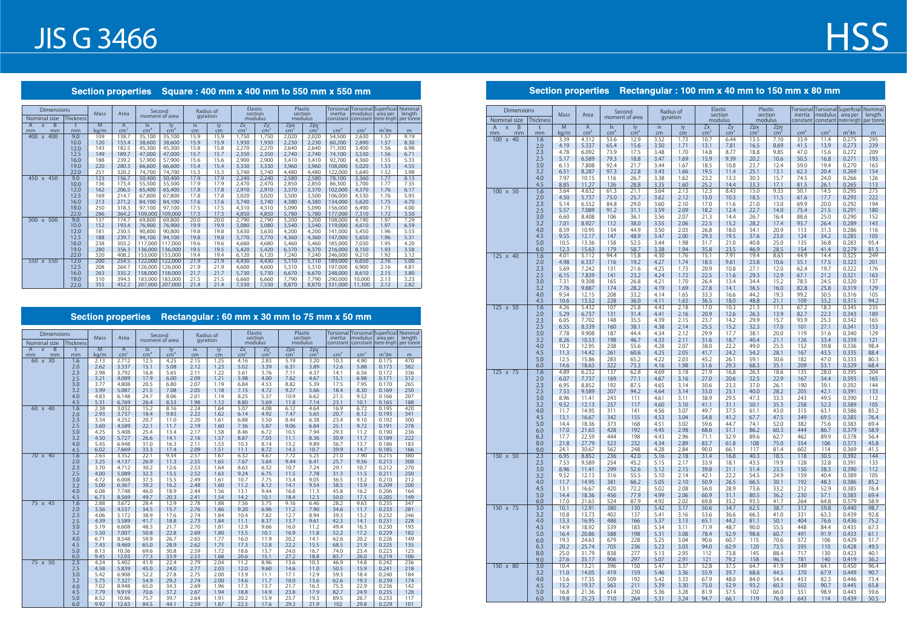### Section properties Square: 400 mm x 400 mm to 550 mm x 550 mm

| Dimensions                         |                  | <b>Mass</b><br>Area |                      |                                           | Second               | Radius of<br>gyration |          |                       | Elastic<br>section    |                      | Plastic<br>section     | inertia         | modulus area per | Torsional Torsional Superficial Nominal | length    |
|------------------------------------|------------------|---------------------|----------------------|-------------------------------------------|----------------------|-----------------------|----------|-----------------------|-----------------------|----------------------|------------------------|-----------------|------------------|-----------------------------------------|-----------|
| Nominal size                       | <b>Thickness</b> |                     |                      |                                           | moment of area       |                       |          |                       | modulus               |                      | modulus                |                 |                  | constant   constant   meter length      | per tonne |
| B<br>A<br>$\mathsf{x}$<br>mm<br>mm | mm               | M<br>kg/m           | A<br>cm <sup>2</sup> | $\mathsf{I}\mathsf{x}$<br>cm <sup>4</sup> | ly.<br>$\text{cm}^4$ | ix<br>cm              | iy<br>cm | Zx<br>cm <sup>3</sup> | Zy<br>cm <sup>3</sup> | Zpx<br>$\text{cm}^3$ | Zpy<br>cm <sup>3</sup> | cm <sup>4</sup> | cm <sup>3</sup>  | $m2$ /m                                 | m         |
| 400<br>400<br>$\mathsf{X}$         | 9.0              | 109                 | 138.7                | 35,100                                    | 35,100               | 15.9                  | 15.9     | 1,750                 | 1,750                 | 2,020                | 2,020                  | 54,500          | 2,630            | 1.57                                    | 9.19      |
|                                    | 10.0             | 120                 | 153.4                | 38,600                                    | 38,600               | 15.9                  | 15.9     | 1,930                 | 1,930                 | 2,230                | 2,230                  | 60,200          | 2,890            | 1.57                                    | 8.30      |
|                                    | 12.0             | 143                 | 182.5                | 45,300                                    | 45,300               | 15.8                  | 15.8     | 2,270                 | 2,270                 | 2,640                | 2,640                  | 71,300          | 3,400            | 1.56                                    | 6.98      |
|                                    | 12.5             | 149                 | 189.7                | 47,000                                    | 47,000               | 15.7                  | 15.7     | 2,350                 | 2,350                 | 2,740                | 2,740                  | 74,100          | 3,530            | 1.56                                    | 6.71      |
|                                    | 16.0             | 188                 | 239.2                | 57,900                                    | 57,900               | 15.6                  | 15.6     | 2,900                 | 2,900                 | 3,410                | 3,410                  | 92,700          | 4,360            | 1.55                                    | 5.33      |
|                                    | 19.0             | 220                 | 280.3                | 66,600                                    | 66,600               | 15.4                  | 15.4     | 3,330                 | 3,330                 | 3,960                | 3,960                  | 108,000         | 5,020            | 1.53                                    | 4.55      |
|                                    | 22.0             | 251                 | 320.2                | 74,700                                    | 74,700               | 15.3                  | 15.3     | 3,740                 | 3,740                 | 4,480                | 4,480                  | 122,000         | 5,640            | 1.52                                    | 3.98      |
| 450 x 450                          | 9.0              | 123                 | 156.7                | 50,400                                    | 50,400               | 17.9                  | 17.9     | 2,240                 | 2,240                 | 2,580                | 2,580                  | 78,100          | 3,360            | 1.77                                    | 8.13      |
|                                    | 10.0             | 136                 | 173.4                | 55,500                                    | 55,500               | 17.9                  | 17.9     | 2,470                 | 2,470                 | 2,850                | 2,850                  | 86,300          | 3,700            | 1.77                                    | 7.35      |
|                                    | 12.0             | 162                 | 206.5                | 65,400                                    | 65,400               | 17.8                  | 17.8     | 2,910                 | 2,910                 | 3,370                | 3,370                  | 102,000         | 4,370            | 1.76                                    | 6.17      |
|                                    | 12.5             | 169                 | 214.7                | 67,800                                    | 67,800               | 17.8                  | 17.8     | 3,020                 | 3,020                 | 3,500                | 3,500                  | 106,000         | 4,530            | 1.76                                    | 5.93      |
|                                    | 16.0             | 213                 | 271.2                | 84,100                                    | 84,100               | 17.6                  | 17.6     | 3,740                 | 3,740                 | 4,380                | 4,380                  | 134,000         | 5,620            | 1.75                                    | 4.70      |
|                                    | 19.0             | 250                 | 318.3                | 97,100                                    | 97,100               | 17.5                  | 17.5     | 4,310                 | 4,310                 | 5,090                | 5,090                  | 156,000         | 6,490            | 1.73                                    | 4.00      |
|                                    | 22.0             | 286                 | 364.2                | 109,000                                   | 109,000              | 17.3                  | 17.3     | 4,850                 | 4,850                 | 5,780                | 5,780                  | 177,000         | 7,310            | 1.72                                    | 3.50      |
| 500 x 500                          | 9.0              | 137                 | 174.7                | 69,800                                    | 69,800               | 20.0                  | 20.0     | 2,790                 | 2,790                 | 3,200                | 3,200                  | 108,000         | 4,190            | 1.97                                    | 7.29      |
|                                    | 10.0             | 152                 | 193.4                | 76,900                                    | 76,900               | 19.9                  | 19.9     | 3,080                 | 3,080                 | 3,540                | 3,540                  | 119,000         | 4,610            | 1.97                                    | 6.59      |
|                                    | 12.0             | 181                 | 230.5                | 90,800                                    | 90,800               | 19.8                  | 19.8     | 3,630                 | 3,630                 | 4,200                | 4,200                  | 141,000         | 5,450            | 1.96                                    | 5.53      |
|                                    | 12.5             | 188                 | 239.7                | 94,100                                    | 94,100               | 19.8                  | 19.8     | 3,770                 | 3,770                 | 4,360                | 4,360                  | 147,000         | 5,650            | 1.96                                    | 5.31      |
|                                    | 16.0             | 238                 | 303.2                | 117,000                                   | 117.000              | 19.6                  | 19.6     | 4.680                 | 4,680                 | 5,460                | 5,460                  | 185,000         | 7,030            | 1.95                                    | 4.20      |
|                                    | 19.0             | 280                 | 356.3                | 136,000                                   | 136,000              | 19.5                  | 19.5     | 5,420                 | 5,420                 | 6,370                | 6,370                  | 216,000         | 8,150            | 1.93                                    | 3.58      |
|                                    | 22.0             | 320                 | 408.2                | 153,000                                   | 153,000              | 19.4                  | 19.4     | 6,120                 | 6,120                 | 7,240                | 7,240                  | 246,000         | 9,210            | 1.92                                    | 3.12      |
| 550 x 550                          | 12.0             | 200                 | 254.5                | 122,000                                   | 122,000              | 21.9                  | 21.9     | 4,430                 | 4,430                 | 5,110                | 5,110                  | 189,000         | 6,650            | 2.16                                    | 5.00      |
|                                    | 12.5             | 208                 | 264.7                | 126,000                                   | 126,000              | 21.9                  | 21.9     | 4,600                 | 4,600                 | 5,310                | 5,310                  | 197,000         | 6,900            | 2.16                                    | 4.81      |
|                                    | 16.0             | 263                 | 335.2                | 158,000                                   | 158,000              | 21.7                  | 21.7     | 5,730                 | 5,730                 | 6.670                | 6,670                  | 248,000         | 8,610            | 2.15                                    | 3.80      |
|                                    | 19.0             | 310                 | 394.3                | 183,000                                   | 183,000              | 21.5                  | 21.5     | 6,660                 | 6,660                 | 7,790                | 7,790                  | 290,000         | 10,000           | 2.13                                    | 3.23      |
|                                    | 22.0             | 355                 | 452.2                | 207,000                                   | 207,000              | 21.4                  | 21.4     | 7,530                 | 7,530                 | 8,870                | 8,870                  | 331,000         | 11,300           | 2.12                                    | 2.82      |

## Section properties Rectangular : 60 mm x 30 mm to 75 mm x 50 mm

| <b>Dimensions</b>                               |            | <b>Mass</b>            | Area                              |                                           | Second<br>moment of area |              | Radius of<br>qyration |                       | Elastic<br>section |                        | Plastic<br>section   | inertia         | Torsional Torsional Superficial Nominal<br>modulus | area per          | length     |
|-------------------------------------------------|------------|------------------------|-----------------------------------|-------------------------------------------|--------------------------|--------------|-----------------------|-----------------------|--------------------|------------------------|----------------------|-----------------|----------------------------------------------------|-------------------|------------|
| Nominal size                                    | Thickness  |                        |                                   |                                           |                          |              |                       |                       | modulus            |                        | modulus              | constant        | constant                                           | meter length      | per tonne  |
| $\overline{B}$<br>A<br>$\mathsf{x}$<br>mm<br>mm | t<br>mm    | $\overline{M}$<br>kg/m | $\overline{A}$<br>cm <sup>2</sup> | $\mathsf{I}\mathsf{x}$<br>cm <sup>4</sup> | ly<br>$\text{cm}^4$      | ix<br>cm     | iy<br>cm              | Zx<br>cm <sup>3</sup> | Zy<br>$\rm cm^3$   | Zpx<br>cm <sup>3</sup> | Zpy<br>$\text{cm}^3$ | cm <sup>4</sup> | cm <sup>3</sup>                                    | m <sup>2</sup> /m | m          |
| $60 \times 30$                                  | 1.6        | 2.13                   | 2.712                             | 12.5                                      | 4.25                     | 2.15         | 1.25                  | 4.16                  | 2.83               | 5.19                   | 3.20                 | 10.3            | 4.90                                               | 0.175             | 470        |
|                                                 | 2.0        | 2.62                   | 3.337                             | 15.1                                      | 5.08                     | 2.12         | 1.23                  | 5.02                  | 3.39               | 6.31                   | 3.89                 | 12.6            | 5.88                                               | 0.173             | 382        |
|                                                 | 2.3        | 2.98                   | 3.792                             | 16.8                                      | 5.65                     | 2.11         | 1.22                  | 5.61                  | 3.76               | 7.11                   | 4.37                 | 14.1            | 6.56                                               | 0.172             | 336        |
|                                                 | 2.5        | 3.21                   | 4.089                             | 17.9                                      | 6.00                     | 2.09         | 1.21                  | 5.98                  | 4.00               | 7.62                   | 4.67                 | 15.1            | 6.98                                               | 0.171             | 312        |
|                                                 | 3.0        | 3.77                   | 4.808                             | 20.5                                      | 6.80                     | 2.07         | 1.19                  | 6.84                  | 4.53               | 8.82                   | 5.39                 | 17.5            | 7.95                                               | 0.170             | 265        |
|                                                 | 3.2        | 3.99                   | 5.087                             | 21.5                                      | 7.08                     | 2.05         | 1.18                  | 7.15                  | 4.72               | 9.27                   | 5.66                 | 18.4            | 8.30                                               | 0.169             | 250        |
|                                                 | 4.0        | 4.83                   | 6.148                             | 24.7                                      | 8.06                     | 2.01         | 1.14                  | 8.25                  | 5.37               | 10.9                   | 6.62                 | 21.5            | 9.52                                               | 0.166             | 207        |
|                                                 | 4.5        | 5.31                   | 6.769                             | 26.4                                      | 8.53                     | 1.98         | 1.12                  | 8.80                  | 5.69               | 11.8                   | 7.14                 | 23.1            | 10.1                                               | 0.165             | 188        |
| 60 x 40                                         | 1.6        | 2.38                   | 3.032                             | 15.2                                      | 8.16                     | 2.24         | 1.64                  | 5.07                  | 4.08               | 6.12                   | 4.64                 | 16.9            | 6.72                                               | 0.195             | 420        |
|                                                 | 2.0<br>2.3 | 2.93<br>3.34           | 3.737<br>4.252                    | 18.4<br>20.7                              | 9.83<br>11.0             | 2.22<br>2.20 | 1.62<br>1.61          | 6.14<br>6.88          | 4.92<br>5.50       | 7.47<br>8.44           | 5.65<br>6.38         | 20.7<br>23.4    | 8.12<br>9.10                                       | 0.193<br>0.192    | 341<br>300 |
|                                                 | 2.5        | 3.60                   | 4.589                             | 22.1                                      | 11.7                     | 2.19         | 1.60                  | 7.36                  | 5.87               | 9.06                   | 6.84                 | 25.1            | 9.72                                               | 0.191             | 278        |
|                                                 | 3.0        | 4.25                   | 5.408                             | 25.4                                      | 13.4                     | 2.17         | 1.58                  | 8.46                  | 6.72               | 10.5                   | 7.94                 | 29.3            | 11.2                                               | 0.190             | 236        |
|                                                 | 3.2        | 4.50                   | 5.727                             | 26.6                                      | 14.1                     | 2.16         | 1.57                  | 8.87                  | 7.03               | 11.1                   | 8.36                 | 30.9            | 11.7                                               | 0.189             | 222        |
|                                                 | 4.0        | 5.45                   | 6.948                             | 31.0                                      | 16.3                     | 2.11         | 1.53                  | 10.3                  | 8.14               | 13.2                   | 9.89                 | 36.7            | 13.7                                               | 0.186             | 183        |
|                                                 | 4.5        | 6.02                   | 7.669                             | 33.3                                      | 17.4                     | 2.09         | 1.51                  | 11.1                  | 8.72               | 14.3                   | 10.7                 | 39.9            | 14.7                                               | 0.185             | 166        |
| 70 x 40                                         | 1.6        | 2.63                   | 3.352                             | 22.1                                      | 9.34                     | 2.57         | 1.67                  | 6.32                  | 4.67               | 7.72                   | 5.25                 | 21.0            | 7.90                                               | 0.215             | 380        |
|                                                 | 2.0        | 3.25                   | 4.137                             | 26.9                                      | 11.3                     | 2.55         | 1.65                  | 7.67                  | 5.64               | 9.44                   | 6.41                 | 25.7            | 9.56                                               | 0.213             | 308        |
|                                                 | 2.3        | 3.70                   | 4.712                             | 30.2                                      | 12.6                     | 2.53         | 1.64                  | 8.63                  | 6.32               | 10.7                   | 7.24                 | 29.1            | 10.7                                               | 0.212             | 270        |
|                                                 | 2.5        | 4.00                   | 5.089                             | 32.3                                      | 13.5                     | 2.52         | 1.63                  | 9.24                  | 6.75               | 11.5                   | 7.78                 | 31.3            | 11.5                                               | 0.211             | 250        |
|                                                 | 3.0        | 4.72                   | 6.008                             | 37.3                                      | 15.5                     | 2.49         | 1.61                  | 10.7                  | 7.75               | 13.4                   | 9.05                 | 36.5            | 13.2                                               | 0.210             | 212        |
|                                                 | 3.2        | 5.00                   | 6.367                             | 39.2                                      | 16.2                     | 2.48         | 1.60                  | 11.2                  | 8.12               | 14.1                   | 9.54                 | 38.5            | 13.9                                               | 0.209             | 200        |
|                                                 | 4.0<br>4.5 | 6.08<br>6.73           | 7.748<br>8.569                    | 46.0<br>49.7                              | 18.9<br>20.3             | 2.44<br>2.41 | 1.56<br>1.54          | 13.1<br>14.2          | 9.44<br>10.1       | 16.8<br>18.4           | 11.3<br>12.3         | 45.8<br>50.0    | 16.2<br>17.5                                       | 0.206<br>0.205    | 164<br>149 |
| 75 x 45                                         | 1.6        | 2.88                   | 3.672                             | 28.4                                      | 12.9                     | 2.78         | 1.88                  | 7.56                  | 5.75               | 9.16                   | 6.46                 | 28.2            | 9.63                                               | 0.235             | 347        |
|                                                 | 2.0        | 3.56                   | 4.537                             | 34.5                                      | 15.7                     | 2.76         | 1.86                  | 9.20                  | 6.96               | 11.2                   | 7.90                 | 34.6            | 11.7                                               | 0.233             | 281        |
|                                                 | 2.3        | 4.06                   | 5.172                             | 38.9                                      | 17.6                     | 2.74         | 1.84                  | 10.4                  | 7.82               | 12.7                   | 8.94                 | 39.3            | 13.2                                               | 0.232             | 246        |
|                                                 | 2.5        | 4.39                   | 5.589                             | 41.7                                      | 18.8                     | 2.73         | 1.84                  | 11.1                  | 8.37               | 13.7                   | 9.61                 | 42.3            | 14.1                                               | 0.231             | 228        |
|                                                 | 3.0        | 5.19                   | 6.608                             | 48.3                                      | 21.7                     | 2.70         | 1.81                  | 12.9                  | 9.66               | 16.0                   | 11.2                 | 49.4            | 16.3                                               | 0.230             | 193        |
|                                                 | 3.2        | 5.50                   | 7.007                             | 50.8                                      | 22.8                     | 2.69         | 1.80                  | 13.5                  | 10.1               | 16.9                   | 11.8                 | 52.2            | 17.2                                               | 0.229             | 182        |
|                                                 | 4.0        | 6.71                   | 8.548                             | 59.9                                      | 26.7                     | 2.65         | 1.77                  | 16.0                  | 11.9               | 20.2                   | 14.1                 | 62.6            | 20.2                                               | 0.226             | 149        |
|                                                 | 4.5        | 7.43                   | 9.469                             | 65.0                                      | 28.9                     | 2.62         | 1.75                  | 17.3                  | 12.8               | 22.2                   | 15.5                 | 68.5            | 21.9                                               | 0.225             | 135        |
|                                                 | 5.0        | 8.13                   | 10.36                             | 69.6                                      | 30.8                     | 2.59         | 1.72                  | 18.6                  | 13.7               | 24.0                   | 16.7                 | 74.0            | 23.4                                               | 0.223             | 123        |
|                                                 | 6.0        | 9.45                   | 12.03                             | 77.3                                      | 33.9                     | 2.53         | 1.68                  | 20.6                  | 15.1               | 27.2                   | 18.8                 | 83.7            | 26.0                                               | 0.219             | 106        |
| $75 \times 50$                                  | 2.3        | 4.24                   | 5.402                             | 41.9                                      | 22.4                     | 2.79         | 2.04                  | 11.2                  | 8.96               | 13.6                   | 10.3                 | 46.9            | 14.8                                               | 0.242             | 236        |
|                                                 | 2.5        | 4.58<br>5.42           | 5.839<br>6.908                    | 45.0<br>52.2                              | 24.0<br>27.8             | 2.77<br>2.75 | 2.03<br>2.00          | 12.0<br>13.9          | 9.60               | 14.6<br>17.1           | 11.0<br>12.9         | 50.5<br>59.3    | 15.9<br>18.4                                       | 0.241<br>0.240    | 218<br>184 |
|                                                 | 3.0<br>3.2 | 5.75                   | 7.327                             | 54.9                                      | 29.2                     | 2.74         | 2.00                  | 14.6                  | 11.1<br>11.7       | 18.0                   | 13.6                 | 62.6            | 19.3                                               | 0.239             | 174        |
|                                                 | 4.0        | 7.02                   | 8.948                             | 65.0                                      | 34.3                     | 2.69         | 1.96                  | 17.3                  | 13.7               | 21.7                   | 16.3                 | 75.3            | 22.9                                               | 0.236             | 142        |
|                                                 | 4.5        | 7.79                   | 9.919                             | 70.6                                      | 37.2                     | 2.67         | 1.94                  | 18.8                  | 14.9               | 23.8                   | 17.9                 | 82.7            | 24.9                                               | 0.235             | 128        |
|                                                 | 5.0        | 8.52                   | 10.86                             | 75.7                                      | 39.7                     | 2.64         | 1.91                  | 20.2                  | 15.9               | 25.7                   | 19.3                 | 89.5            | 26.7                                               | 0.233             | 117        |
|                                                 | 6.0        | 9.92                   | 12.63                             | 84.5                                      | 44.1                     | 2.59         | 1.87                  | 22.5                  | 17.6               | 29.2                   | 21.9                 | 102             | 29.8                                               | 0.229             | 101        |

## Section properties Rectangular : 100 mm x 40 mm to 150 mm x 80 mm

## **HSS**

| <b>Dimensions</b>                                            |                  | <b>Mass</b>  | Area                 |                       | Second<br>moment of area |              | Radius of<br>gyration |                       | Elastic<br>section  |                      | Plastic<br>section              |                 |                 |                         | Torsional Torsional Superficial Nominal<br>inertia modulus area per length<br>length |
|--------------------------------------------------------------|------------------|--------------|----------------------|-----------------------|--------------------------|--------------|-----------------------|-----------------------|---------------------|----------------------|---------------------------------|-----------------|-----------------|-------------------------|--------------------------------------------------------------------------------------|
| Nominal size                                                 | <b>Thickness</b> |              |                      |                       |                          |              |                       |                       | modulus             |                      | modulus                         | constant        |                 | constant   meter length | per tonne                                                                            |
| $\overline{B}$<br>$\overline{A}$<br>$\mathsf{X}$<br>mm<br>mm | t<br>mm          | M<br>kg/m    | A<br>cm <sup>2</sup> | lx<br>cm <sup>4</sup> | ly.<br>$\frac{m^4}{2}$   | ix<br>cm     | iy<br>cm              | Zx<br>cm <sup>2</sup> | Zy<br>$\text{cm}^3$ | Zpx<br>$\text{cm}^3$ | $Zpy$ <sub>cm<sup>3</sup></sub> | cm <sup>4</sup> | cm <sup>3</sup> | m <sup>2</sup> /m       | m                                                                                    |
| 100 x 40                                                     | 1.6              | 3.39         | 4.312                | 53.6                  | 12.9                     | 3.52         | 1.73                  | 10.7                  | 6.44                | 13.5                 | 7.10                            | 33.9            | 11.4            | 0.275                   | 295                                                                                  |
|                                                              | 2.0              | 4.19         | 5.337                | 65.4                  | 15.6                     | 3.50         | 1.71                  | 13.1                  | 7.81                | 16.5                 | 8.69                            | 41.5            | 13.9            | 0.273                   | 239                                                                                  |
|                                                              | 2.3<br>2.5       | 4.78<br>5.17 | 6.092<br>6.589       | 73.9<br>79.3          | 17.5<br>18.8             | 3.48<br>3.47 | 1.70<br>1.69          | 14.8<br>15.9          | 8.77<br>9.39        | 18.8<br>20.2         | 9.85<br>10.6                    | 47.0<br>50.5    | 15.6<br>16.8    | 0.272<br>0.271          | 209<br>193                                                                           |
|                                                              | 3.0              | 6.13         | 7.808                | 92.4                  | 21.7                     | 3.44         | 1.67                  | 18.5                  | 10.8                | 23.7                 | 12.4                            | 59.0            | 19.4            | 0.270                   | 163                                                                                  |
|                                                              | 3.2              | 6.51         | 8.287                | 97.3                  | 22.8                     | 3.43         | 1.66                  | 19.5                  | 11.4                | 25.1                 | 13.1                            | 62.3            | 20.4            | 0.269                   | 154                                                                                  |
|                                                              | 4.0              | 7.97         | 10.15                | 116                   | 26.7                     | 3.38         | 1.62                  | 23.2                  | 13.3                | 30.3                 | 15.7                            | 74.5            | 24.0            | 0.266                   | 126                                                                                  |
|                                                              | 4.5              | 8.85         | 11.27                | 126                   | 28.8                     | 3.35         | 1.60                  | 25.2                  | 14.4                | 33.3                 | 17.1                            | 81.5            | 26.1            | 0.265                   | 113                                                                                  |
| 100 x 50                                                     | 1.6              | 3.64         | 4.632                | 61.3                  | 21.1                     | 3.64         | 2.13                  | 12.3                  | 8.43                | 15.0                 | 9.33                            | 50.1            | 14.5            | 0.295                   | 275                                                                                  |
|                                                              | 2.0              | 4.50         | 5.737                | 75.0                  | 25.7                     | 3.62         | 2.12                  | 15.0                  | 10.3                | 18.5                 | 11.5                            | 61.6            | 17.7            | 0.293                   | 222                                                                                  |
|                                                              | 2.3              | 5.14         | 6.552                | 84.8                  | 29.0                     | 3.60         | 2.10                  | 17.0                  | 11.6                | 21.0                 | 13.0                            | 69.9            | 20.0            | 0.292                   | 194                                                                                  |
|                                                              | 2.5              | 5.57         | 7.089                | 91.2                  | 31.1                     | 3.59         | 2.09                  | 18.2                  | 12.4                | 22.7                 | 14.0                            | 75.4            | 21.5            | 0.291                   | 180                                                                                  |
|                                                              | 3.0<br>3.2       | 6.60<br>7.01 | 8.408<br>8.927       | 106<br>112            | 36.1<br>38.0             | 3.56<br>3.55 | 2.07<br>2.06          | 21.3<br>22.5          | 14.4<br>15.2        | 26.7<br>28.2         | 16.4<br>17.4                    | 88.6<br>93.7    | 25.0<br>26.4    | 0.290<br>0.289          | 152<br>143                                                                           |
|                                                              | 4.0              | 8.59         | 10.95                | 134                   | 44.9                     | 3.50         | 2.03                  | 26.8                  | 18.0                | 34.1                 | 20.9                            | 113             | 31.3            | 0.286                   | 116                                                                                  |
|                                                              | 4.5              | 9.55         | 12.17                | 147                   | 48.9                     | 3.47         | 2.00                  | 29.3                  | 19.5                | 37.6                 | 23.0                            | 124             | 34.2            | 0.285                   | 105                                                                                  |
|                                                              | 5.0              | 10.5         | 13.36                | 158                   | 52.5                     | 3.44         | 1.98                  | 31.7                  | 21.0                | 40.8                 | 25.0                            | 135             | 36.8            | 0.283                   | 95.4                                                                                 |
|                                                              | 6.0              | 12.3         | 15.63                | 179                   | 58.7                     | 3.38         | 1.94                  | 35.8                  | 23.5                | 46.9                 | 28.5                            | 154             | 41.4            | 0.279                   | 81.5                                                                                 |
| 125 x 40                                                     | 1.6              | 4.01         | 5.112                | 94.4                  | 15.8                     | 4.30         | 1.76                  | 15.1                  | 7.91                | 19.4                 | 8.63                            | 44.9            | 14.4            | 0.325                   | 249                                                                                  |
|                                                              | 2.0              | 4.98         | 6.337                | 116                   | 19.2                     | 4.27         | 1.74                  | 18.5                  | 9.61                | 23.8                 | 10.6                            | 55.1            | 17.5            | 0.323                   | 201                                                                                  |
|                                                              | 2.3<br>2.5       | 5.69<br>6.15 | 7.242<br>7.839       | 131<br>141            | 21.6<br>23.2             | 4.25<br>4.24 | 1.73<br>1.72          | 20.9<br>22.5          | 10.8<br>11.6        | 27.1<br>29.3         | 12.0<br>12.9                    | 62.4<br>67.1    | 19.7<br>21.2    | 0.322<br>0.321          | 176<br>163                                                                           |
|                                                              | 3.0              | 7.31         | 9.308                | 165                   | 26.8                     | 4.21         | 1.70                  | 26.4                  | 13.4                | 34.4                 | 15.2                            | 78.5            | 24.5            | 0.320                   | 137                                                                                  |
|                                                              | 3.2              | 7.76         | 9.887                | 174                   | 28.2                     | 4.19         | 1.69                  | 27.8                  | 14.1                | 36.5                 | 16.0                            | 82.8            | 25.8            | 0.319                   | 129                                                                                  |
|                                                              | 4.0              | 9.54         | 12.15                | 208                   | 33.2                     | 4.14         | 1.65                  | 33.3                  | 16.6                | 44.2                 | 19.3                            | 99.2            | 30.5            | 0.316                   | 105                                                                                  |
|                                                              | 4.5              | 10.6         | 13.52                | 228                   | 36.0                     | 4.11         | 1.63                  | 36.5                  | 18.0                | 48.8                 | 21.1                            | 109             | 33.2            | 0.315                   | 94.2                                                                                 |
| $125 \times 50$                                              | 1.6              | 4.26         | 5.432                | 107                   | 25.8                     | 4.43         | 2.18                  | 17.0                  | 10.3                | 21.3                 | 11.3                            | 67.2            | 18.3            | 0.345                   | 235                                                                                  |
|                                                              | 2.0<br>2.3       | 5.29<br>6.05 | 6.737<br>7.702       | 131<br>148            | 31.4<br>35.5             | 4.41<br>4.39 | 2.16<br>2.15          | 20.9<br>23.7          | 12.6<br>14.2        | 26.3<br>29.9         | 13.9<br>15.7                    | 82.7<br>93.9    | 22.3<br>25.3    | 0.343<br>0.342          | 189<br>165                                                                           |
|                                                              | 2.5              | 6.55         | 8.339                | 160                   | 38.1                     | 4.38         | 2.14                  | 25.5                  | 15.2                | 32.3                 | 17.0                            | 101             | 27.1            | 0.341                   | 153                                                                                  |
|                                                              | 3.0              | 7.78         | 9.908                | 187                   | 44.4                     | 4.34         | 2.12                  | 29.9                  | 17.7                | 38.1                 | 20.0                            | 119             | 31.6            | 0.340                   | 129                                                                                  |
|                                                              | 3.2              | 8.26         | 10.53                | 198                   | 46.7                     | 4.33         | 2.11                  | 31.6                  | 18.7                | 40.4                 | 21.1                            | 126             | 33.4            | 0.339                   | 121                                                                                  |
|                                                              | 4.0              | 10.2         | 12.95                | 238                   | 55.6                     | 4.28         | 2.07                  | 38.0                  | 22.2                | 49.0                 | 25.5                            | 152             | 39.8            | 0.336                   | 98.4                                                                                 |
|                                                              | 4.5              | 11.3         | 14.42                | 261                   | 60.6                     | 4.25         | 2.05                  | 41.7                  | 24.2                | 54.2                 | 28.1                            | 167             | 43.5            | 0.335                   | 88.4                                                                                 |
|                                                              | 5.0              | 12.5<br>14.6 | 15.86<br>18.63       | 283<br>322            | 65.2<br>73.3             | 4.22<br>4.16 | 2.03<br>1.98          | 45.2<br>51.6          | 26.1<br>29.3        | 59.1<br>68.3         | 30.6<br>35.1                    | 182<br>209      | 47.0<br>53.1    | 0.333<br>0.329          | 80.3<br>68.4                                                                         |
| 125 x 75                                                     | 6.0<br>1.6       | 4.89         | 6.232                | 137                   | 62.8                     | 4.69         | 3.18                  | 21.9                  | 16.8                | 26.3                 | 18.6                            | 135             | 28.0            | 0.395                   | 204                                                                                  |
|                                                              | 2.0              | 6.07         | 7.737                | 169                   | 77.1                     | 4.67         | 3.16                  | 27.0                  | 20.6                | 32.5                 | 22.9                            | 167             | 34.4            | 0.393                   | 165                                                                                  |
|                                                              | 2.3              | 6.95         | 8.852                | 192                   | 87.5                     | 4.65         | 3.14                  | 30.6                  | 23.3                | 37.0                 | 26.1                            | 190             | 39.1            | 0.392                   | 144                                                                                  |
|                                                              | 2.5              | 7.53         | 9.589                | 207                   | 94.2                     | 4.64         | 3.14                  | 33.0                  | 25.1                | 40.0                 | 28.2                            | 205             | 42.1            | 0.391                   | 133                                                                                  |
|                                                              | 3.0              | 8.96         | 11.41                | 243                   | 111                      | 4.61         | 3.11                  | 38.9                  | 29.5                | 47.3                 | 33.3                            | 243             | 49.5            | 0.390                   | 112                                                                                  |
|                                                              | 3.2              | 9.52         | 12.13                | 257                   | 117<br>141               | 4.60<br>4.56 | 3.10                  | 41.1<br>49.7          | 31.1<br>37.5        | 50.1                 | 35.3<br>43.0                    | 258<br>315      | 52.3            | 0.389<br>0.386          | 105<br>85.2                                                                          |
|                                                              | 4.0<br>4.5       | 11.7<br>13.1 | 14.95<br>16.67       | 311<br>342            | 155                      | 4.53         | 3.07<br>3.04          | 54.8                  | 41.2                | 61.1<br>67.7         | 47.5                            | 349             | 63.1<br>69.5    | 0.385                   | 76.4                                                                                 |
|                                                              | 5.0              | 14.4         | 18.36                | 373                   | 168                      | 4.51         | 3.02                  | 59.6                  | 44.7                | 74.1                 | 52.0                            | 382             | 75.6            | 0.383                   | 69.4                                                                                 |
|                                                              | 6.0              | 17.0         | 21.63                | 428                   | 192                      | 4.45         | 2.98                  | 68.6                  | 51.1                | 86.2                 | 60.3                            | 444             | 86.7            | 0.379                   | 58.9                                                                                 |
|                                                              | 6.3              | 17.7         | 22.59                | 444                   | 198                      | 4.43         | 2.96                  | 71.1                  | 52.9                | 89.6                 | 62.7                            | 462             | 89.9            | 0.378                   | 56.4                                                                                 |
|                                                              | 8.0              | 21.8         | 27.79                | 523                   | 232                      | 4.34         | 2.89                  | 83.7                  | 61.8                | 108                  | 75.0                            | 554             | 106             | 0.373                   | 45.8                                                                                 |
| 150 x 50                                                     | 9.0<br>2.3       | 24.1<br>6.95 | 30.67<br>8.852       | 562<br>236            | 248<br>42.0              | 4.28<br>5.16 | 2.84<br>2.18          | 90.0<br>31.4          | 66.1<br>16.8        | 117<br>40.3          | 81.4<br>18.5                    | 602<br>118      | 114<br>30.5     | 0.369<br>0.392          | 41.5<br>144                                                                          |
|                                                              | 2.5              | 7.53         | 9.589                | 254                   | 45.2                     | 5.15         | 2.17                  | 33.9                  | 18.1                | 43.5                 | 19.9                            | 128             | 32.8            | 0.391                   | 133                                                                                  |
|                                                              | 3.0              | 8.96         | 11.41                | 299                   | 52.6                     | 5.12         | 2.15                  | 39.8                  | 21.1                | 51.4                 | 23.5                            | 150             | 38.3            | 0.390                   | 112                                                                                  |
|                                                              | 3.2              | 9.52         | 12.13                | 316                   | 55.5                     | 5.10         | 2.14                  | 42.1                  | 22.2                | 54.5                 | 24.9                            | 159             | 40.4            | 0.389                   | 105                                                                                  |
|                                                              | 4.0              | 11.7         | 14.95                | 381                   | 66.2                     | 5.05         | 2.10                  | 50.9                  | 26.5                | 66.5                 | 30.1                            | 192             | 48.3            | 0.386                   | 85.2                                                                                 |
|                                                              | 4.5              | 13.1         | 16.67                | 420                   | 72.2                     | 5.02         | 2.08                  | 56.0                  | 28.9                | 73.6                 | 33.2                            | 212             | 52.9            | 0.385                   | 76.4                                                                                 |
|                                                              | 5.0<br>6.0       | 14.4         | 18.36                | 456                   | 77.9<br>87.9             | 4.99<br>4.92 | 2.06                  | 60.9                  | 31.1                | 80.5                 | 36.2<br>41.7                    | 230             | 57.1            | 0.383<br>0.379          | 69.4                                                                                 |
| $150 \times 75$                                              | 3.0              | 17.0<br>10.1 | 21.63<br>12.91       | 524<br>380            | 130                      | 5.42         | 2.02<br>3.17          | 69.8<br>50.6          | 35.2<br>34.7        | 93.5<br>62.5         | 38.7                            | 264<br>312      | 64.8<br>59.8    | 0.440                   | 58.9<br>98.7                                                                         |
|                                                              | 3.2              | 10.8         | 13.73                | 402                   | 137                      | 5.41         | 3.16                  | 53.6                  | 36.6                | 66.3                 | 41.0                            | 331             | 63.3            | 0.439                   | 92.8                                                                                 |
|                                                              | 4.0              | 13.3         | 16.95                | 488                   | 166                      | 5.37         | 3.13                  | 65.1                  | 44.2                | 81.1                 | 50.1                            | 404             | 76.6            | 0.436                   | 75.2                                                                                 |
|                                                              | 4.5              | 14.9         | 18.92                | 539                   | 183                      | 5.34         | 3.11                  | 71.9                  | 48.7                | 90.0                 | 55.5                            | 448             | 84.4            | 0.435                   | 67.3                                                                                 |
|                                                              | 5.0              | 16.4         | 20.86                | 588                   | 198                      | 5.31         | 3.08                  | 78.4                  | 52.9                | 98.6                 | 60.7                            | 491             | 91.9            | 0.433                   | 61.1                                                                                 |
|                                                              | 6.0              | 19.3         | 24.63                | 679                   | 228                      | 5.25         | 3.04                  | 90.6                  | 60.7                | 115                  | 70.6                            | 572             | 106             | 0.429                   | 51.7                                                                                 |
|                                                              | 6.3<br>8.0       | 20.2<br>25.0 | 25.74<br>31.79       | 705<br>838            | 236<br>277               | 5.23<br>5.13 | 3.03<br>2.95          | 94.0<br>112           | 62.9<br>73.8        | 120<br>145           | 73.5<br>88.4                    | 595<br>717      | 110<br>130      | 0.428<br>0.423          | 49.5<br>40.1                                                                         |
|                                                              | 9.0              | 27.6         | 35.17                | 906                   | 297                      | 5.07         | 2.91                  | 121                   | 79.2                | 158                  | 96.3                            | 781             | 140             | 0.419                   | 36.2                                                                                 |
| 150 x 80                                                     | 3.0              | 10.4         | 13.21                | 396                   | 150                      | 5.47         | 3.37                  | 52.8                  | 37.5                | 64.7                 | 41.9                            | 349             | 64.1            | 0.450                   | 96.4                                                                                 |
|                                                              | 3.2              | 11.0         | 14.05                | 419                   | 159                      | 5.46         | 3.36                  | 55.9                  | 39.7                | 68.6                 | 44.5                            | 370             | 67.9            | 0.449                   | 90.7                                                                                 |
|                                                              | 4.0              | 13.6         | 17.35                | 509                   | 192                      | 5.42         | 3.33                  | 67.9                  | 48.0                | 84.0                 | 54.4                            | 453             | 82.3            | 0.446                   | 73.4                                                                                 |
|                                                              | 4.5<br>5.0       | 15.2<br>16.8 | 19.37<br>21.36       | 563<br>614            | 211<br>230               | 5.39<br>5.36 | 3.30<br>3.28          | 75.0<br>81.9          | 52.9<br>57.5        | 93.2<br>102          | 60.3<br>66.0                    | 502<br>551      | 90.7<br>98.9    | 0.445<br>0.443          | 65.8<br>59.6                                                                         |
|                                                              | 6.0              | 19.8         | 25.23                | 710                   | 264                      | 5.31         | 3.24                  | 94.7                  | 66.1                | 119                  | 76.9                            | 643             | 114             | 0.439                   | 50.5                                                                                 |
|                                                              |                  |              |                      |                       |                          |              |                       |                       |                     |                      |                                 |                 |                 |                         |                                                                                      |